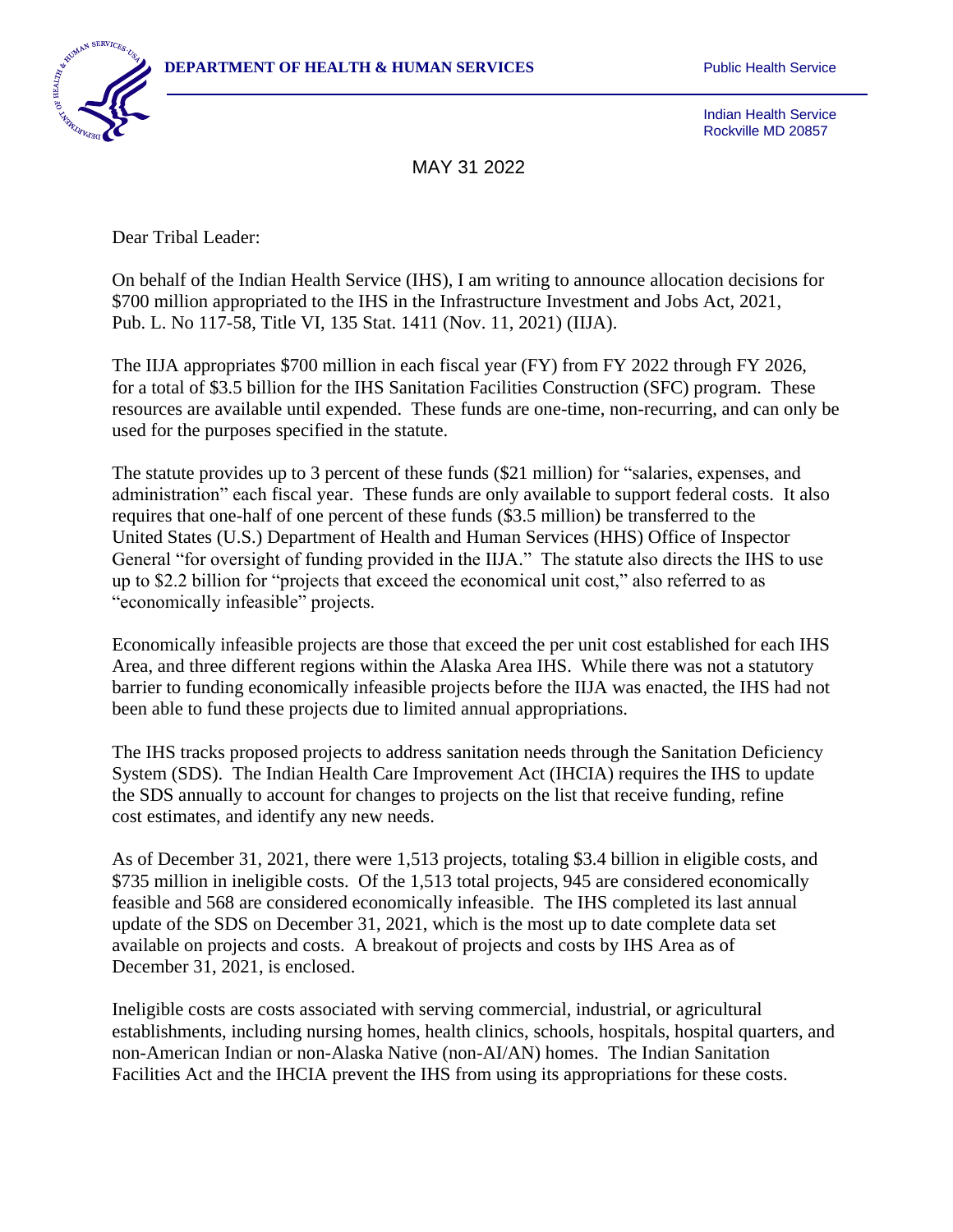

Indian Health Service Rockville MD 20857

MAY 31 2022

Dear Tribal Leader:

On behalf of the Indian Health Service (IHS), I am writing to announce allocation decisions for \$700 million appropriated to the IHS in the Infrastructure Investment and Jobs Act, 2021, Pub. L. No 117-58, Title VI, 135 Stat. 1411 (Nov. 11, 2021) (IIJA).

The IIJA appropriates \$700 million in each fiscal year (FY) from FY 2022 through FY 2026, for a total of \$3.5 billion for the IHS Sanitation Facilities Construction (SFC) program. These resources are available until expended. These funds are one-time, non-recurring, and can only be used for the purposes specified in the statute.

The statute provides up to 3 percent of these funds (\$21 million) for "salaries, expenses, and administration" each fiscal year. These funds are only available to support federal costs. It also requires that one-half of one percent of these funds (\$3.5 million) be transferred to the United States (U.S.) Department of Health and Human Services (HHS) Office of Inspector General "for oversight of funding provided in the IIJA." The statute also directs the IHS to use up to \$2.2 billion for "projects that exceed the economical unit cost," also referred to as "economically infeasible" projects.

Economically infeasible projects are those that exceed the per unit cost established for each IHS Area, and three different regions within the Alaska Area IHS. While there was not a statutory barrier to funding economically infeasible projects before the IIJA was enacted, the IHS had not been able to fund these projects due to limited annual appropriations.

The IHS tracks proposed projects to address sanitation needs through the Sanitation Deficiency System (SDS). The Indian Health Care Improvement Act (IHCIA) requires the IHS to update the SDS annually to account for changes to projects on the list that receive funding, refine cost estimates, and identify any new needs.

As of December 31, 2021, there were 1,513 projects, totaling \$3.4 billion in eligible costs, and \$735 million in ineligible costs. Of the 1,513 total projects, 945 are considered economically feasible and 568 are considered economically infeasible. The IHS completed its last annual update of the SDS on December 31, 2021, which is the most up to date complete data set available on projects and costs. A breakout of projects and costs by IHS Area as of December 31, 2021, is enclosed.

Ineligible costs are costs associated with serving commercial, industrial, or agricultural establishments, including nursing homes, health clinics, schools, hospitals, hospital quarters, and non-American Indian or non-Alaska Native (non-AI/AN) homes. The Indian Sanitation Facilities Act and the IHCIA prevent the IHS from using its appropriations for these costs.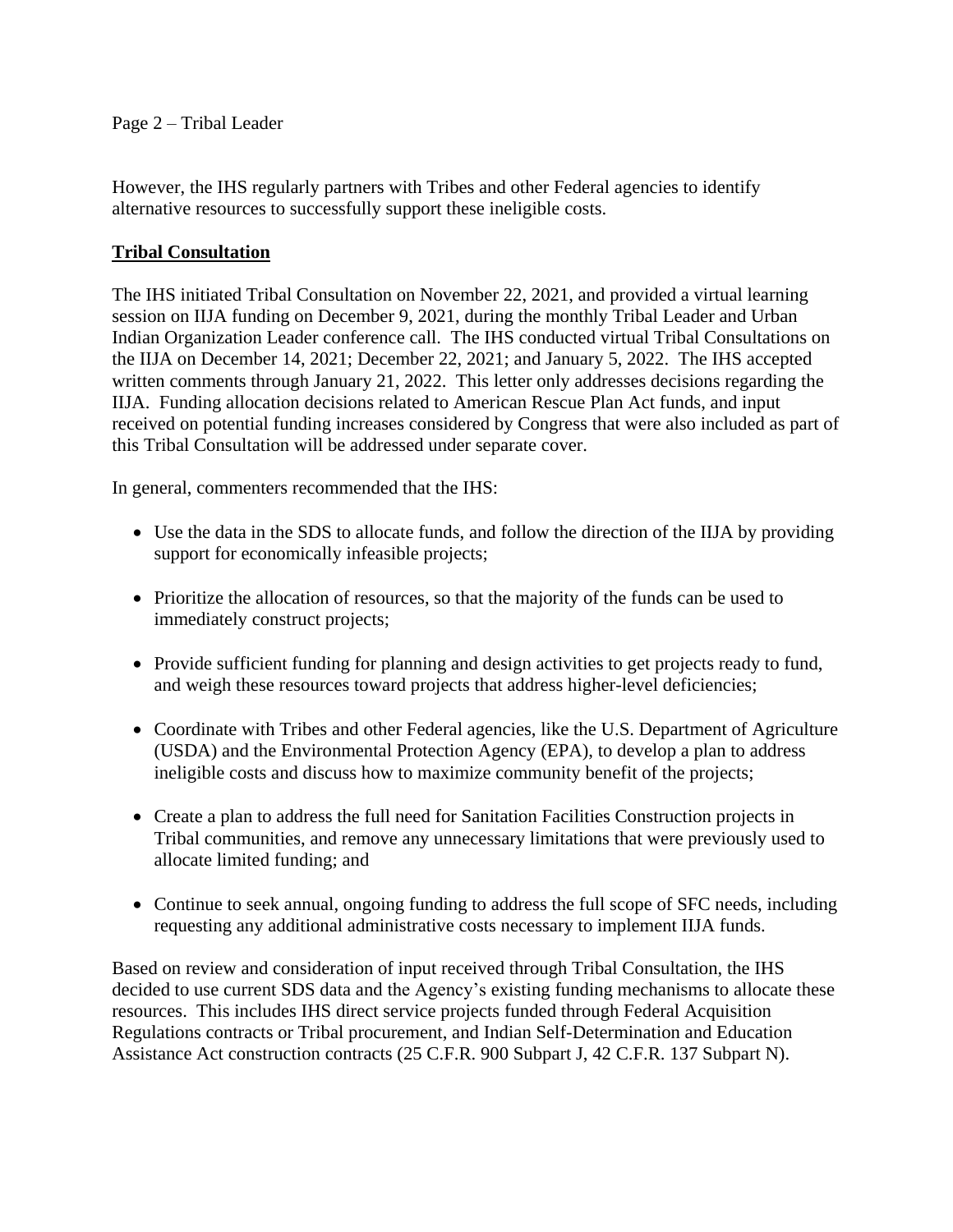Page 2 – Tribal Leader

However, the IHS regularly partners with Tribes and other Federal agencies to identify alternative resources to successfully support these ineligible costs.

# **Tribal Consultation**

The IHS initiated Tribal Consultation on November 22, 2021, and provided a virtual learning session on IIJA funding on December 9, 2021, during the monthly Tribal Leader and Urban Indian Organization Leader conference call. The IHS conducted virtual Tribal Consultations on the IIJA on December 14, 2021; December 22, 2021; and January 5, 2022. The IHS accepted written comments through January 21, 2022. This letter only addresses decisions regarding the IIJA. Funding allocation decisions related to American Rescue Plan Act funds, and input received on potential funding increases considered by Congress that were also included as part of this Tribal Consultation will be addressed under separate cover.

In general, commenters recommended that the IHS:

- Use the data in the SDS to allocate funds, and follow the direction of the IIJA by providing support for economically infeasible projects;
- Prioritize the allocation of resources, so that the majority of the funds can be used to immediately construct projects;
- Provide sufficient funding for planning and design activities to get projects ready to fund, and weigh these resources toward projects that address higher-level deficiencies;
- Coordinate with Tribes and other Federal agencies, like the U.S. Department of Agriculture (USDA) and the Environmental Protection Agency (EPA), to develop a plan to address ineligible costs and discuss how to maximize community benefit of the projects;
- Create a plan to address the full need for Sanitation Facilities Construction projects in Tribal communities, and remove any unnecessary limitations that were previously used to allocate limited funding; and
- Continue to seek annual, ongoing funding to address the full scope of SFC needs, including requesting any additional administrative costs necessary to implement IIJA funds.

Based on review and consideration of input received through Tribal Consultation, the IHS decided to use current SDS data and the Agency's existing funding mechanisms to allocate these resources. This includes IHS direct service projects funded through Federal Acquisition Regulations contracts or Tribal procurement, and Indian Self-Determination and Education Assistance Act construction contracts (25 C.F.R. 900 Subpart J, 42 C.F.R. 137 Subpart N).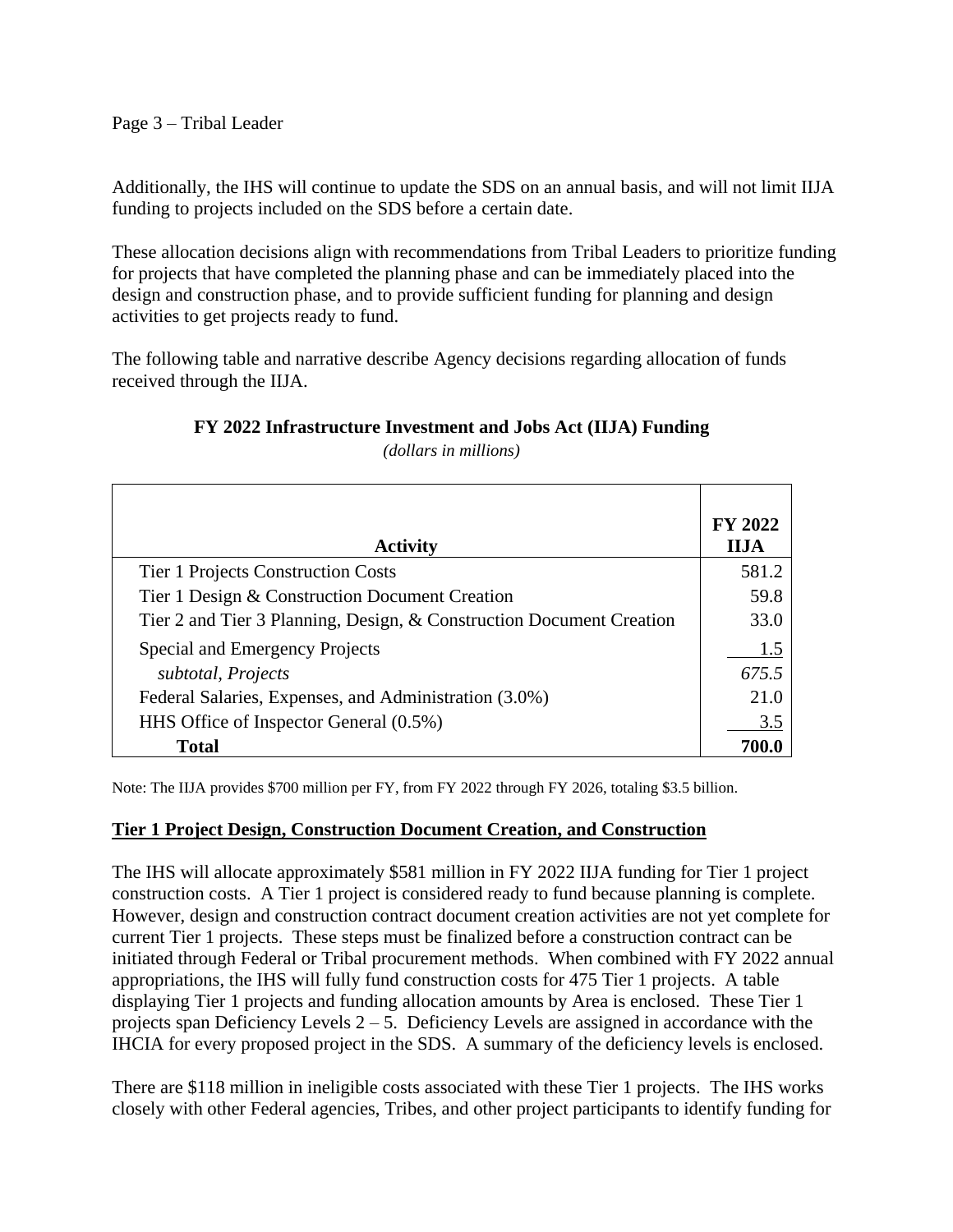Page 3 – Tribal Leader

Additionally, the IHS will continue to update the SDS on an annual basis, and will not limit IIJA funding to projects included on the SDS before a certain date.

These allocation decisions align with recommendations from Tribal Leaders to prioritize funding for projects that have completed the planning phase and can be immediately placed into the design and construction phase, and to provide sufficient funding for planning and design activities to get projects ready to fund.

The following table and narrative describe Agency decisions regarding allocation of funds received through the IIJA.

## **FY 2022 Infrastructure Investment and Jobs Act (IIJA) Funding**

|                                                                      | <b>FY 2022</b> |
|----------------------------------------------------------------------|----------------|
| <b>Activity</b>                                                      | IIJA           |
| <b>Tier 1 Projects Construction Costs</b>                            | 581.2          |
| Tier 1 Design & Construction Document Creation                       | 59.8           |
| Tier 2 and Tier 3 Planning, Design, & Construction Document Creation | 33.0           |
| Special and Emergency Projects                                       | 1.5            |
| subtotal, Projects                                                   | 675.5          |
| Federal Salaries, Expenses, and Administration (3.0%)                | 21.0           |
| HHS Office of Inspector General (0.5%)                               | 3.5            |
| <b>Total</b>                                                         |                |

*(dollars in millions)*

Note: The IIJA provides \$700 million per FY, from FY 2022 through FY 2026, totaling \$3.5 billion.

### **Tier 1 Project Design, Construction Document Creation, and Construction**

The IHS will allocate approximately \$581 million in FY 2022 IIJA funding for Tier 1 project construction costs. A Tier 1 project is considered ready to fund because planning is complete. However, design and construction contract document creation activities are not yet complete for current Tier 1 projects. These steps must be finalized before a construction contract can be initiated through Federal or Tribal procurement methods. When combined with FY 2022 annual appropriations, the IHS will fully fund construction costs for 475 Tier 1 projects. A table displaying Tier 1 projects and funding allocation amounts by Area is enclosed. These Tier 1 projects span Deficiency Levels  $2 - 5$ . Deficiency Levels are assigned in accordance with the IHCIA for every proposed project in the SDS. A summary of the deficiency levels is enclosed.

There are \$118 million in ineligible costs associated with these Tier 1 projects. The IHS works closely with other Federal agencies, Tribes, and other project participants to identify funding for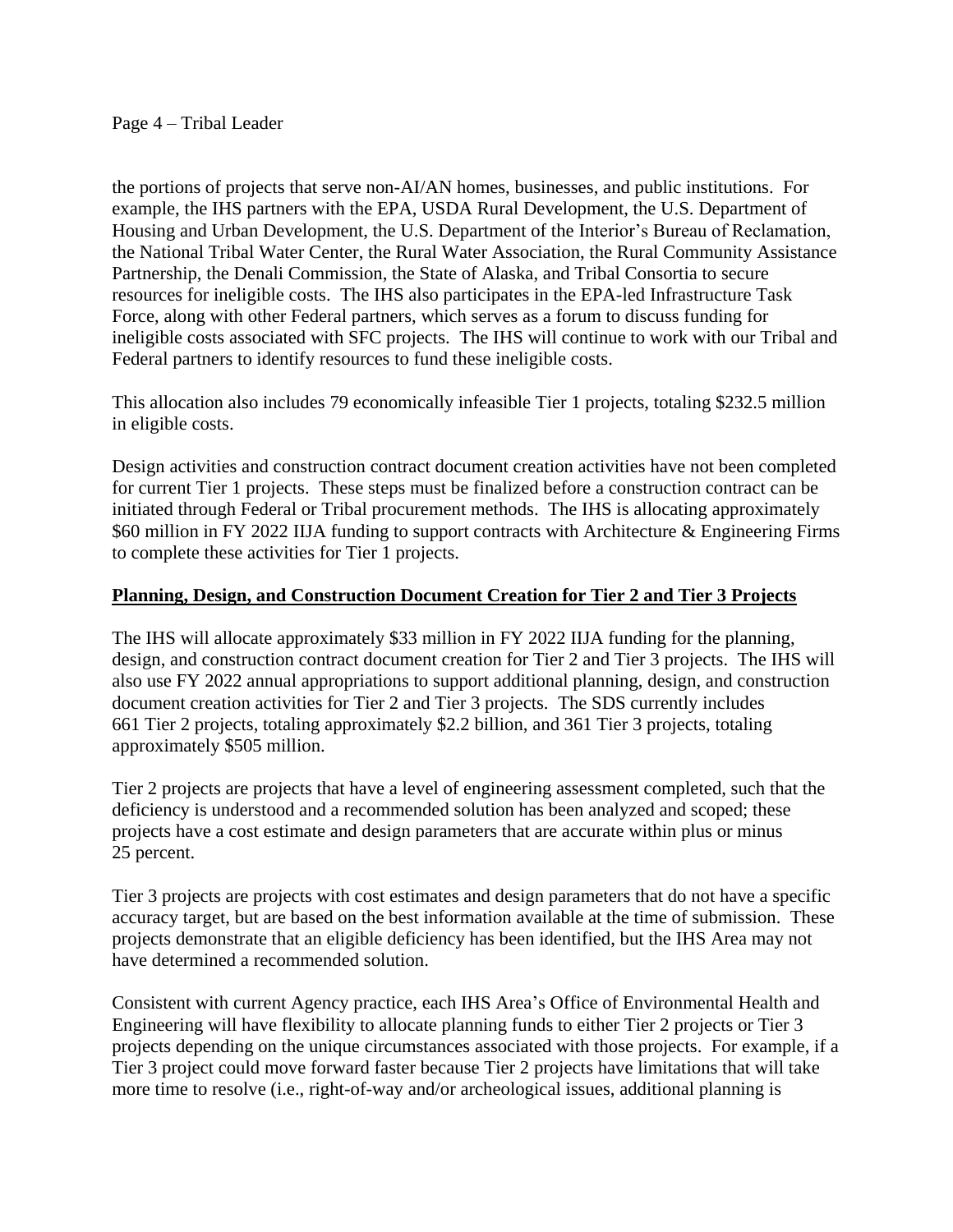#### Page 4 – Tribal Leader

the portions of projects that serve non-AI/AN homes, businesses, and public institutions. For example, the IHS partners with the EPA, USDA Rural Development, the U.S. Department of Housing and Urban Development, the U.S. Department of the Interior's Bureau of Reclamation, the National Tribal Water Center, the Rural Water Association, the Rural Community Assistance Partnership, the Denali Commission, the State of Alaska, and Tribal Consortia to secure resources for ineligible costs. The IHS also participates in the EPA-led Infrastructure Task Force, along with other Federal partners, which serves as a forum to discuss funding for ineligible costs associated with SFC projects. The IHS will continue to work with our Tribal and Federal partners to identify resources to fund these ineligible costs.

This allocation also includes 79 economically infeasible Tier 1 projects, totaling \$232.5 million in eligible costs.

Design activities and construction contract document creation activities have not been completed for current Tier 1 projects. These steps must be finalized before a construction contract can be initiated through Federal or Tribal procurement methods. The IHS is allocating approximately \$60 million in FY 2022 IIJA funding to support contracts with Architecture & Engineering Firms to complete these activities for Tier 1 projects.

## **Planning, Design, and Construction Document Creation for Tier 2 and Tier 3 Projects**

The IHS will allocate approximately \$33 million in FY 2022 IIJA funding for the planning, design, and construction contract document creation for Tier 2 and Tier 3 projects. The IHS will also use FY 2022 annual appropriations to support additional planning, design, and construction document creation activities for Tier 2 and Tier 3 projects. The SDS currently includes 661 Tier 2 projects, totaling approximately \$2.2 billion, and 361 Tier 3 projects, totaling approximately \$505 million.

Tier 2 projects are projects that have a level of engineering assessment completed, such that the deficiency is understood and a recommended solution has been analyzed and scoped; these projects have a cost estimate and design parameters that are accurate within plus or minus 25 percent.

Tier 3 projects are projects with cost estimates and design parameters that do not have a specific accuracy target, but are based on the best information available at the time of submission. These projects demonstrate that an eligible deficiency has been identified, but the IHS Area may not have determined a recommended solution.

Consistent with current Agency practice, each IHS Area's Office of Environmental Health and Engineering will have flexibility to allocate planning funds to either Tier 2 projects or Tier 3 projects depending on the unique circumstances associated with those projects. For example, if a Tier 3 project could move forward faster because Tier 2 projects have limitations that will take more time to resolve (i.e., right-of-way and/or archeological issues, additional planning is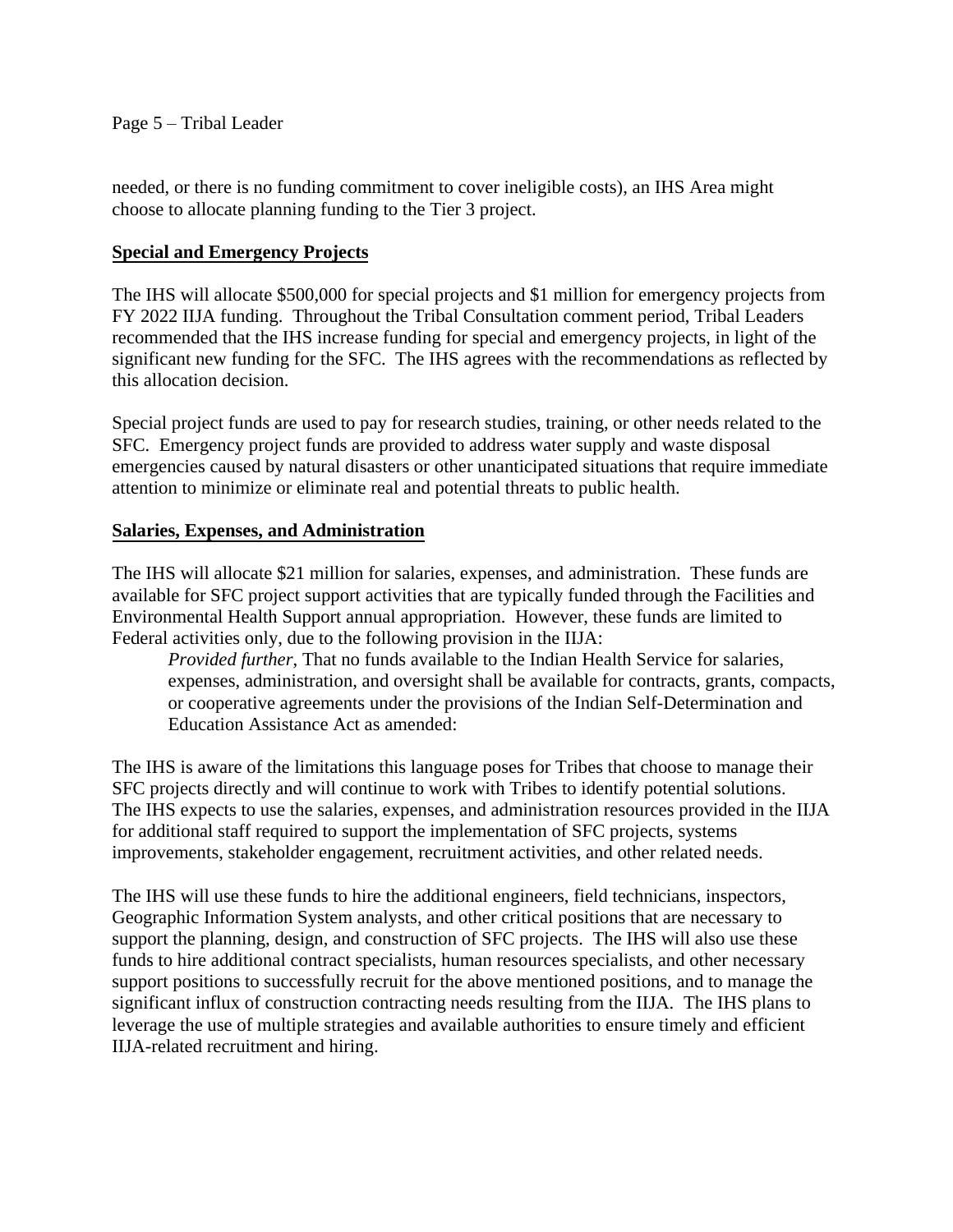Page 5 – Tribal Leader

needed, or there is no funding commitment to cover ineligible costs), an IHS Area might choose to allocate planning funding to the Tier 3 project.

# **Special and Emergency Projects**

The IHS will allocate \$500,000 for special projects and \$1 million for emergency projects from FY 2022 IIJA funding. Throughout the Tribal Consultation comment period, Tribal Leaders recommended that the IHS increase funding for special and emergency projects, in light of the significant new funding for the SFC. The IHS agrees with the recommendations as reflected by this allocation decision.

Special project funds are used to pay for research studies, training, or other needs related to the SFC. Emergency project funds are provided to address water supply and waste disposal emergencies caused by natural disasters or other unanticipated situations that require immediate attention to minimize or eliminate real and potential threats to public health.

### **Salaries, Expenses, and Administration**

The IHS will allocate \$21 million for salaries, expenses, and administration. These funds are available for SFC project support activities that are typically funded through the Facilities and Environmental Health Support annual appropriation. However, these funds are limited to Federal activities only, due to the following provision in the IIJA:

*Provided further*, That no funds available to the Indian Health Service for salaries, expenses, administration, and oversight shall be available for contracts, grants, compacts, or cooperative agreements under the provisions of the Indian Self-Determination and Education Assistance Act as amended:

The IHS is aware of the limitations this language poses for Tribes that choose to manage their SFC projects directly and will continue to work with Tribes to identify potential solutions. The IHS expects to use the salaries, expenses, and administration resources provided in the IIJA for additional staff required to support the implementation of SFC projects, systems improvements, stakeholder engagement, recruitment activities, and other related needs.

The IHS will use these funds to hire the additional engineers, field technicians, inspectors, Geographic Information System analysts, and other critical positions that are necessary to support the planning, design, and construction of SFC projects. The IHS will also use these funds to hire additional contract specialists, human resources specialists, and other necessary support positions to successfully recruit for the above mentioned positions, and to manage the significant influx of construction contracting needs resulting from the IIJA. The IHS plans to leverage the use of multiple strategies and available authorities to ensure timely and efficient IIJA-related recruitment and hiring.